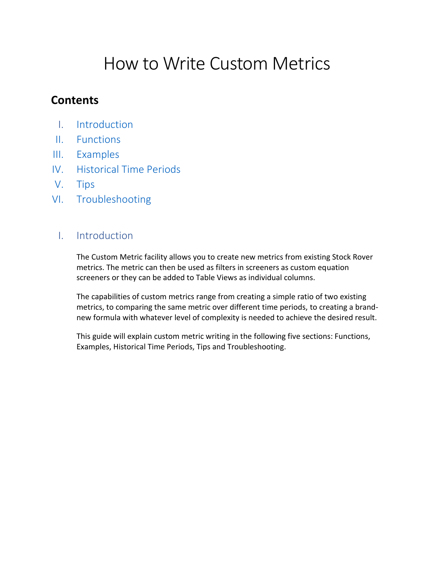# How to Write Custom Metrics

# **Contents**

- I. Introduction
- II. Functions
- III. Examples
- IV. Historical Time Periods
- V. Tips
- VI. Troubleshooting

## I. Introduction

The Custom Metric facility allows you to create new metrics from existing Stock Rover metrics. The metric can then be used as filters in screeners as custom equation screeners or they can be added to Table Views as individual columns.

The capabilities of custom metrics range from creating a simple ratio of two existing metrics, to comparing the same metric over different time periods, to creating a brandnew formula with whatever level of complexity is needed to achieve the desired result.

This guide will explain custom metric writing in the following five sections: Functions, Examples, Historical Time Periods, Tips and Troubleshooting.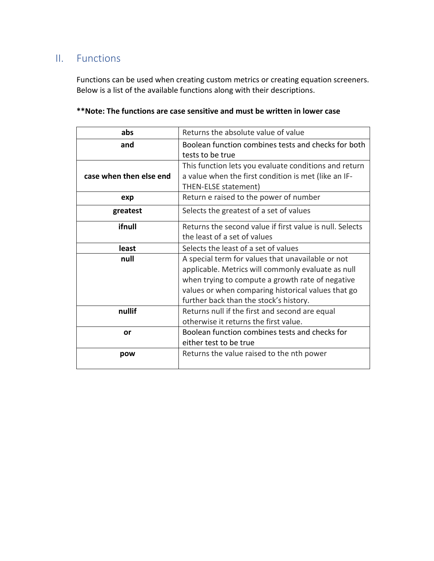# II. Functions

Functions can be used when creating custom metrics or creating equation screeners. Below is a list of the available functions along with their descriptions.

| abs                     | Returns the absolute value of value                      |
|-------------------------|----------------------------------------------------------|
| and                     | Boolean function combines tests and checks for both      |
|                         | tests to be true                                         |
|                         | This function lets you evaluate conditions and return    |
| case when then else end | a value when the first condition is met (like an IF-     |
|                         | THEN-ELSE statement)                                     |
| exp                     | Return e raised to the power of number                   |
| greatest                | Selects the greatest of a set of values                  |
| ifnull                  | Returns the second value if first value is null. Selects |
|                         | the least of a set of values                             |
| least                   | Selects the least of a set of values                     |
| null                    | A special term for values that unavailable or not        |
|                         | applicable. Metrics will commonly evaluate as null       |
|                         | when trying to compute a growth rate of negative         |
|                         | values or when comparing historical values that go       |
|                         | further back than the stock's history.                   |
| nullif                  | Returns null if the first and second are equal           |
|                         | otherwise it returns the first value.                    |
| or                      | Boolean function combines tests and checks for           |
|                         | either test to be true                                   |
| pow                     | Returns the value raised to the nth power                |
|                         |                                                          |

## **\*\*Note: The functions are case sensitive and must be written in lower case**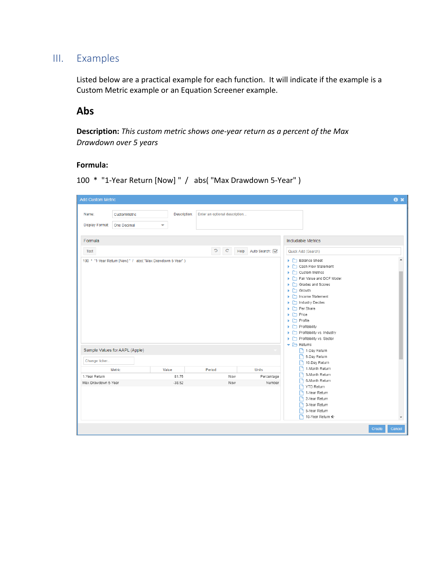## III. Examples

Listed below are a practical example for each function. It will indicate if the example is a Custom Metric example or an Equation Screener example.

## **Abs**

**Description:** *This custom metric shows one-year return as a percent of the Max Drawdown over 5 years*

#### **Formula:**

```
100 * "1-Year Return [Now] " / abs( "Max Drawdown 5-Year" )
```

| <b>Add Custom Metric</b>                                       |                                          |                               |                     |                                                                                                                                                                                                                                                                                                                                                                                           | $\mathbf{a} \times$     |
|----------------------------------------------------------------|------------------------------------------|-------------------------------|---------------------|-------------------------------------------------------------------------------------------------------------------------------------------------------------------------------------------------------------------------------------------------------------------------------------------------------------------------------------------------------------------------------------------|-------------------------|
| CustomMetric<br>Name:<br><b>Display Format:</b><br>One Decimal | Description:<br>$\overline{\phantom{0}}$ | Enter an optional description |                     |                                                                                                                                                                                                                                                                                                                                                                                           |                         |
| Formula                                                        |                                          |                               |                     | Includable Metrics                                                                                                                                                                                                                                                                                                                                                                        |                         |
| Test                                                           |                                          | c<br>$\mathbf{C}$             | Help Auto Search: V | Quick Add (Search)                                                                                                                                                                                                                                                                                                                                                                        |                         |
| 100 * "1-Year Return [Now] " / abs( "Max Drawdown 5-Year")     |                                          |                               |                     | Balance Sheet<br>Cash Flow Statement<br>Custom Metrics<br>Fair Value and DCF Model<br>Grades and Scores<br>$\blacktriangleright$ $\Box$ Growth<br>Income Statement<br>Industry Deciles<br>Per Share<br>$\blacktriangleright$ $\Box$ Price<br>$\blacktriangleright$ $\Box$ Profile<br>$\blacktriangleright$ $\Box$ Profitability<br>Profitability vs. Industry<br>Profitability vs. Sector |                         |
| Sample Values for AAPL (Apple)                                 |                                          |                               |                     | $\blacktriangleright$ $\blacktriangleright$ Returns<br>1-Day Return                                                                                                                                                                                                                                                                                                                       |                         |
| Change ticker                                                  |                                          |                               |                     | 5-Day Return<br>10-Day Return                                                                                                                                                                                                                                                                                                                                                             |                         |
| Metric                                                         | Value                                    | Period                        | Units               | 1-Month Return                                                                                                                                                                                                                                                                                                                                                                            |                         |
| 1-Year Return                                                  | 81.75                                    | Now                           | Percentage          | 3-Month Return<br>m.                                                                                                                                                                                                                                                                                                                                                                      |                         |
| Max Drawdown 5-Year                                            | $-38.52$                                 | Now                           | Number              | 6-Month Return<br>P٦<br>The YTD Return                                                                                                                                                                                                                                                                                                                                                    |                         |
|                                                                |                                          |                               |                     | 1-Year Return<br>2-Year Return<br>3-Year Return<br>5-Year Return<br>10-Year Return *                                                                                                                                                                                                                                                                                                      | $\overline{\mathbf{v}}$ |
|                                                                |                                          |                               |                     |                                                                                                                                                                                                                                                                                                                                                                                           | <b>Create</b><br>Cancel |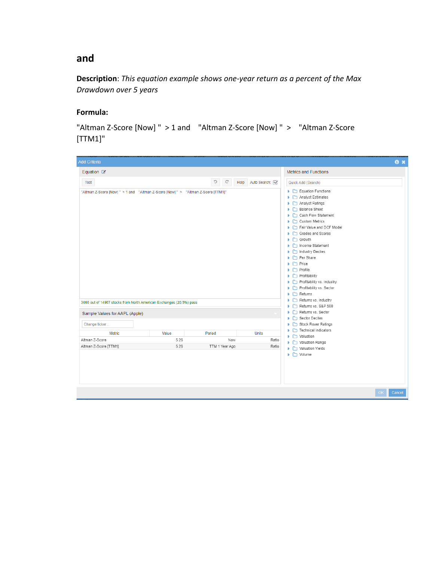## **and**

**Description**: *This equation example shows one-year return as a percent of the Max Drawdown over 5 years* 

#### **Formula:**

"Altman Z-Score [Now] " > 1 and "Altman Z-Score [Now] " > "Altman Z-Score [TTM1]"

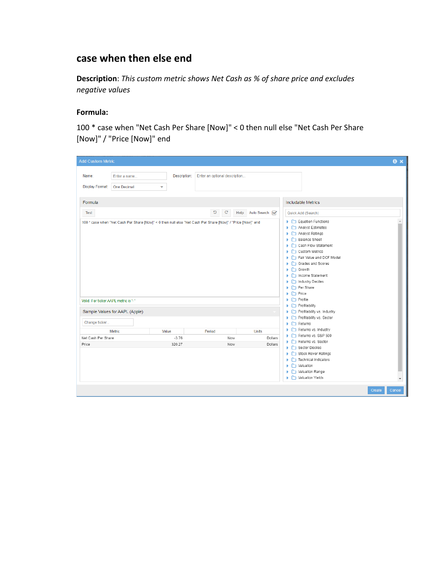# **case when then else end**

**Description**: *This custom metric shows Net Cash as % of share price and excludes negative values*

#### **Formula:**

100 \* case when "Net Cash Per Share [Now]" < 0 then null else "Net Cash Per Share [Now]" / "Price [Now]" end

| <b>Add Custom Metric</b>                                                                                                                                     |                   |                               |                  |                                                                                                                                                                                                                                                                                                                                                                                             | $\mathbf{a} \times$ |
|--------------------------------------------------------------------------------------------------------------------------------------------------------------|-------------------|-------------------------------|------------------|---------------------------------------------------------------------------------------------------------------------------------------------------------------------------------------------------------------------------------------------------------------------------------------------------------------------------------------------------------------------------------------------|---------------------|
| Name:<br>Enter a name<br><b>Display Format:</b><br><b>One Decimal</b>                                                                                        | Description:<br>۳ | Enter an optional description |                  |                                                                                                                                                                                                                                                                                                                                                                                             |                     |
| Formula                                                                                                                                                      |                   |                               |                  | <b>Includable Metrics</b>                                                                                                                                                                                                                                                                                                                                                                   |                     |
| Test<br>100 * case when "Net Cash Per Share [Now]" < 0 then null else "Net Cash Per Share [Now]" / "Price [Now]" end<br>Valid. For ticker AAPL metric is '-' |                   | C<br>$\mathbf{C}$<br>Help     | Auto Search: V   | Quick Add (Search)<br>$\blacktriangleright$ $\Box$ Equation Functions<br>Analyst Estimates<br>Þ<br>Analyst Ratings<br>×<br>Balance Sheet<br>Cash Flow Statement<br>Custom Metrics<br>Fair Value and DCF Model<br>ъ.<br>Grades and Scores<br>¥.<br>$\blacktriangleright$ $\Box$ Growth<br>▶ □ Income Statement<br>Industry Deciles<br>Per Share<br>$\Box$ Price<br>ь<br>$\Box$ Profile<br>Þ. |                     |
| Sample Values for AAPL (Apple)                                                                                                                               |                   |                               |                  | $\blacktriangleright$ $\Box$ Profitability<br>Profitability vs. Industry                                                                                                                                                                                                                                                                                                                    |                     |
| Change ticker<br><b>Metric</b><br>Net Cash Per Share                                                                                                         | Value<br>$-3.76$  | Period<br>Now                 | Units<br>Dollars | Profitability vs. Sector<br>$\blacktriangleright$ $\Box$ Returns<br>Returns vs. Industry<br>Returns vs. S&P 500                                                                                                                                                                                                                                                                             |                     |
| Price                                                                                                                                                        | 320.27            | Now                           | Dollars          | Returns vs. Sector<br>Sector Deciles<br>Stock Rover Ratings<br>Technical Indicators<br>Þ<br>$\Box$ Valuation<br>¥<br>Valuation Range<br>ь<br>▶ □ Valuation Yields                                                                                                                                                                                                                           |                     |
|                                                                                                                                                              |                   |                               |                  | Create                                                                                                                                                                                                                                                                                                                                                                                      | Cancel              |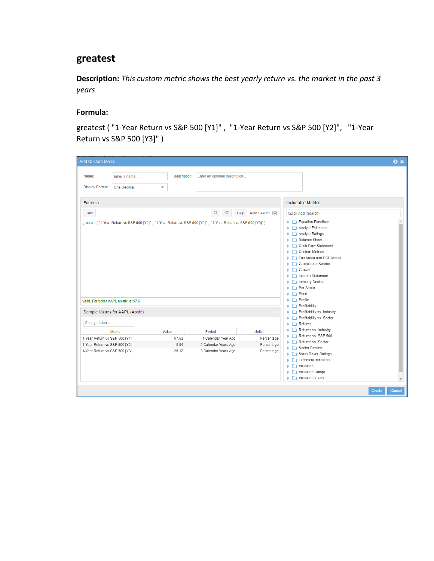## **greatest**

**Description:** *This custom metric shows the best yearly return vs. the market in the past 3 years*

## **Formula:**

greatest ( "1-Year Return vs S&P 500 [Y1]" , "1-Year Return vs S&P 500 [Y2]", "1-Year Return vs S&P 500 [Y3]" )

| Enter an optional description<br>Description:<br>Name:<br>Enter a name<br><b>Display Format:</b><br><b>One Decimal</b><br>۰<br>Formula                                                                                                                                                                      |                                                                                                                                                                                                                                                                                                                                                                                                                          |
|-------------------------------------------------------------------------------------------------------------------------------------------------------------------------------------------------------------------------------------------------------------------------------------------------------------|--------------------------------------------------------------------------------------------------------------------------------------------------------------------------------------------------------------------------------------------------------------------------------------------------------------------------------------------------------------------------------------------------------------------------|
| C<br>$\mathbf{C}$                                                                                                                                                                                                                                                                                           | Includable Metrics                                                                                                                                                                                                                                                                                                                                                                                                       |
| Auto Search: V<br>Help<br><b>Test</b><br>greatest ("1-Year Return vs S&P 500 [Y1]", "1-Year Return vs S&P 500 [Y2]", "1-Year Return vs S&P 500 [Y3]")<br>Valid. For ticker AAPL metric is '57.6'                                                                                                            | Quick Add (Search)<br>$\blacktriangleright$ $\Box$ Equation Functions<br>Analyst Estimates<br>Analyst Ratings<br>Þ.<br>Balance Sheet<br>$\mathbf{b}$<br>Cash Flow Statement<br>Custom Metrics<br>Fair Value and DCF Model<br>Grades and Scores<br>$\blacktriangleright$ $\Box$ Growth<br>Income Statement<br>Industry Deciles<br>Per Share<br>$\blacktriangleright$ $\Box$ Price<br>$\blacktriangleright$ $\Box$ Profile |
| Sample Values for AAPL (Apple)                                                                                                                                                                                                                                                                              | $\blacktriangleright$ $\Box$ Profitability<br>$\blacktriangleright$ $\Box$ Profitability vs. Industry<br>Profitability vs. Sector                                                                                                                                                                                                                                                                                        |
| Change ticker<br><b>Units</b><br>Metric<br>Value<br>Period<br>1-Year Return vs S&P 500 [Y1]<br>57.63<br>Percentage<br>1 Calendar Year Ago<br>1-Year Return vs S&P 500 [Y2]<br>Percentage<br>$-0.94$<br>2 Calendar Years Ago<br>1-Year Return vs S&P 500 [Y3]<br>26.12<br>3 Calendar Years Ago<br>Percentage | $\blacktriangleright$ $\Box$ Returns<br>Returns vs. Industry<br>Returns vs. S&P 500<br>Returns vs. Sector<br>ь<br>Sector Deciles<br>Stock Rover Ratings<br>$\blacktriangleright$ $\Box$ Technical Indicators<br>Valuation<br>Þ.<br>Valuation Range<br>٠<br>Valuation Yields<br>ъ.                                                                                                                                        |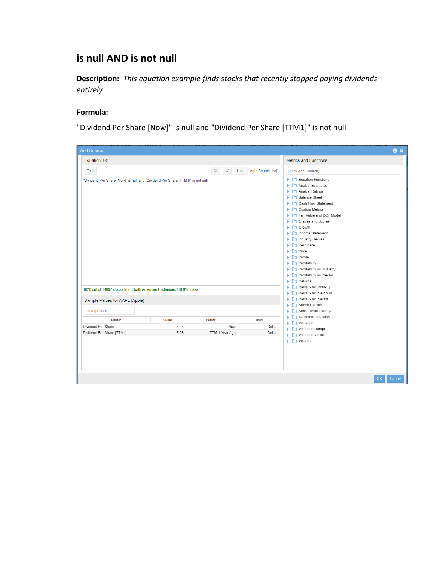# **is null AND is not null**

**Description:** *This equation example finds stocks that recently stopped paying dividends entirely*

## **Formula:**

"Dividend Per Share [Now]" is null and "Dividend Per Share [TTM1]" is not null

| <b>Add Criteria</b>                                                            |       |                              |              | $\mathbf{a} \times$                                                                                                                                                                                                                                                                                                                                                                                                                                                                             |
|--------------------------------------------------------------------------------|-------|------------------------------|--------------|-------------------------------------------------------------------------------------------------------------------------------------------------------------------------------------------------------------------------------------------------------------------------------------------------------------------------------------------------------------------------------------------------------------------------------------------------------------------------------------------------|
| Equation $\mathbb{Z}$                                                          |       | <b>Metrics and Functions</b> |              |                                                                                                                                                                                                                                                                                                                                                                                                                                                                                                 |
| Test                                                                           |       | C<br>$\mathbf{C}$<br>Help    | Auto Search: | Quick Add (Search)                                                                                                                                                                                                                                                                                                                                                                                                                                                                              |
| "Dividend Per Share [Now]" is null and "Dividend Per Share [TTM1]" is not null |       |                              |              | Equation Functions<br>Analyst Estimates<br>Analyst Ratings<br>Balance Sheet<br>Cash Flow Statement<br>Custom Metrics<br>Fair Value and DCF Model<br>Grades and Scores<br>$\blacktriangleright$ $\Box$ Growth<br>Income Statement<br>Industry Deciles<br>Per Share<br>$\blacktriangleright$ $\Box$ Price<br>$\blacktriangleright$ $\Box$ Profile<br>$\blacktriangleright$ $\Box$ Profitability<br>Profitability vs. Industry<br>Profitability vs. Sector<br>$\blacktriangleright$ $\Box$ Returns |
| 1620 out of 14967 stocks from North American Exchanges (10.8%) pass            |       |                              |              | Returns vs. Industry<br>Returns vs. S&P 500                                                                                                                                                                                                                                                                                                                                                                                                                                                     |
| Sample Values for AAPL (Apple)<br>Change ticker                                |       |                              |              | Returns vs. Sector<br>Sector Deciles<br>Stock Rover Ratings                                                                                                                                                                                                                                                                                                                                                                                                                                     |
| <b>Metric</b>                                                                  | Value | Period                       | <b>Units</b> | $\blacktriangleright$ $\Box$ Technical Indicators<br>$\blacktriangleright$ $\Box$ Valuation                                                                                                                                                                                                                                                                                                                                                                                                     |
| Dividend Per Share                                                             | 3.28  | Now                          | Dollars      | ▶ □ Valuation Range                                                                                                                                                                                                                                                                                                                                                                                                                                                                             |
| Dividend Per Share [TTM1]                                                      | 3.08  | TTM 1 Year Ago               | Dollars      | ▶ □ Valuation Yields<br>$\blacktriangleright$ $\Box$ Volume<br>OK<br>Cancel                                                                                                                                                                                                                                                                                                                                                                                                                     |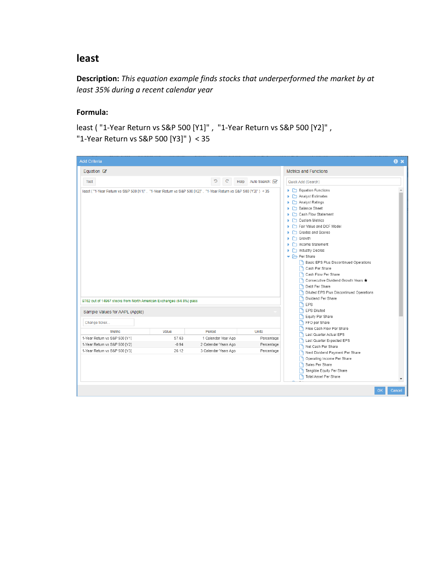## **least**

**Description:** *This equation example finds stocks that underperformed the market by at least 35% during a recent calendar year*

## **Formula:**

least ( "1-Year Return vs S&P 500 [Y1]" , "1-Year Return vs S&P 500 [Y2]" , "1-Year Return vs S&P 500 [Y3]" ) < 35

| <b>Add Criteria</b>                                                                                            |         |                              |                | $\mathbf{a} \times$                                                                                                                                                                                                                                                                                                                                                                                                                                                                                                       |  |
|----------------------------------------------------------------------------------------------------------------|---------|------------------------------|----------------|---------------------------------------------------------------------------------------------------------------------------------------------------------------------------------------------------------------------------------------------------------------------------------------------------------------------------------------------------------------------------------------------------------------------------------------------------------------------------------------------------------------------------|--|
| Equation $\mathbb{Z}$                                                                                          |         | <b>Metrics and Functions</b> |                |                                                                                                                                                                                                                                                                                                                                                                                                                                                                                                                           |  |
| Test                                                                                                           |         | C<br>C<br>Help               | Auto Search: V | Quick Add (Search)                                                                                                                                                                                                                                                                                                                                                                                                                                                                                                        |  |
| least ("1-Year Return vs S&P 500 [Y1]", "1-Year Return vs S&P 500 [Y2]", "1-Year Return vs S&P 500 [Y3]") < 35 |         |                              |                | $\blacktriangleright$ $\Box$ Equation Functions<br>Analyst Estimates<br>$\triangleright$ $\square$ Analyst Ratings<br>Balance Sheet<br>Cash Flow Statement<br>Custom Metrics<br>Fair Value and DCF Model<br>Grades and Scores<br>$\blacktriangleright$ $\Box$ Growth<br>▶ □ Income Statement<br>Industry Deciles<br>▼ → Per Share<br>Basic EPS Plus Discontinued Operations<br>Cash Per Share<br>Cash Flow Per Share<br>Consecutive Dividend Growth Years ★<br>Debt Per Share<br>Diluted EPS Plus Discontinued Operations |  |
| 9702 out of 14967 stocks from North American Exchanges (64.8%) pass                                            |         |                              |                | Dividend Per Share<br>EPS                                                                                                                                                                                                                                                                                                                                                                                                                                                                                                 |  |
| Sample Values for AAPL (Apple)<br>Change ticker                                                                |         |                              |                | <b>EPS Diluted</b><br>Equity Per Share<br>FFO per Share                                                                                                                                                                                                                                                                                                                                                                                                                                                                   |  |
| Metric                                                                                                         | Value   | Period                       | <b>Units</b>   | Free Cash Flow Per Share<br>Last Quarter Actual EPS                                                                                                                                                                                                                                                                                                                                                                                                                                                                       |  |
| 1-Year Return vs S&P 500 [Y1]                                                                                  | 57.63   | 1 Calendar Year Ago          | Percentage     | Last Quarter Expected EPS                                                                                                                                                                                                                                                                                                                                                                                                                                                                                                 |  |
| 1-Year Return vs S&P 500 [Y2]                                                                                  | $-0.94$ | 2 Calendar Years Ago         | Percentage     | Net Cash Per Share                                                                                                                                                                                                                                                                                                                                                                                                                                                                                                        |  |
| 1-Year Return vs S&P 500 [Y3]                                                                                  | 26.12   | 3 Calendar Years Ago         | Percentage     | Next Dividend Payment Per Share<br>Operating Income Per Share<br>Sales Per Share<br>Tangible Equity Per Share<br>Total Asset Per Share                                                                                                                                                                                                                                                                                                                                                                                    |  |
|                                                                                                                |         |                              |                | OK<br>Cancel                                                                                                                                                                                                                                                                                                                                                                                                                                                                                                              |  |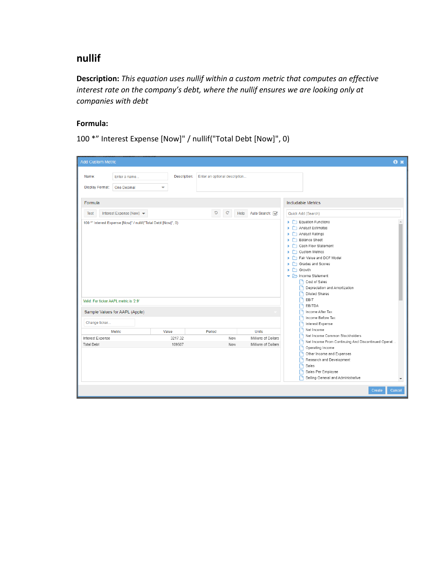## **nullif**

**Description:** *This equation uses nullif within a custom metric that computes an effective interest rate on the company's debt, where the nullif ensures we are looking only at companies with debt*

#### **Formula:**

100 \*" Interest Expense [Now]" / nullif("Total Debt [Now]", 0)

| <b>Add Custom Metric</b>                                                                                                                |                            |                               |                                                            |                                                                                                                                                                                                                                                                 | $\mathbf{a} \times$ |
|-----------------------------------------------------------------------------------------------------------------------------------------|----------------------------|-------------------------------|------------------------------------------------------------|-----------------------------------------------------------------------------------------------------------------------------------------------------------------------------------------------------------------------------------------------------------------|---------------------|
| Name:<br>Enter a name<br><b>Display Format:</b><br><b>One Decimal</b>                                                                   | Description:<br>٠          | Enter an optional description |                                                            |                                                                                                                                                                                                                                                                 |                     |
| Formula<br>Interest Expense [Now] $\blacktriangledown$<br><b>Test</b><br>100 *" Interest Expense [Now]" / nullif("Total Debt [Now]", 0) |                            | c<br>$\mathbf{C}$<br>Help     | Auto Search: V                                             | <b>Includable Metrics</b><br>Quick Add (Search)<br>Equation Functions<br>Analyst Estimates<br>Analyst Ratings<br>Balance Sheet<br>Cash Flow Statement<br>Custom Metrics<br>Fair Value and DCF Model<br>Grades and Scores<br>$\blacktriangleright$ $\Box$ Growth |                     |
| Valid. For ticker AAPL metric is '2.9'<br>Sample Values for AAPL (Apple)<br>Change ticker                                               |                            |                               |                                                            | ncome Statement<br>Cost of Sales<br>Depreciation and Amortization<br><b>Diluted Shares</b><br>EBIT<br>Г۹<br><b>FEBITDA</b><br>Income After Tax<br>Income Before Tax<br>Interest Expense                                                                         |                     |
| Metric<br>Interest Expense<br><b>Total Debt</b>                                                                                         | Value<br>3217.32<br>109507 | Period<br>Now<br>Now          | <b>Units</b><br>Millions of Dollars<br>Millions of Dollars | Net Income<br>Net Income Common Stockholders<br>Γ٩<br>Net Income From Continuing And Discontinued Operat<br>Operating Income<br>Other Income and Expenses<br>Research and Development<br>Sales<br>Sales Per Employee<br>Selling General and Administrative      | ٠                   |
|                                                                                                                                         |                            |                               |                                                            | Create<br>Cancel                                                                                                                                                                                                                                                |                     |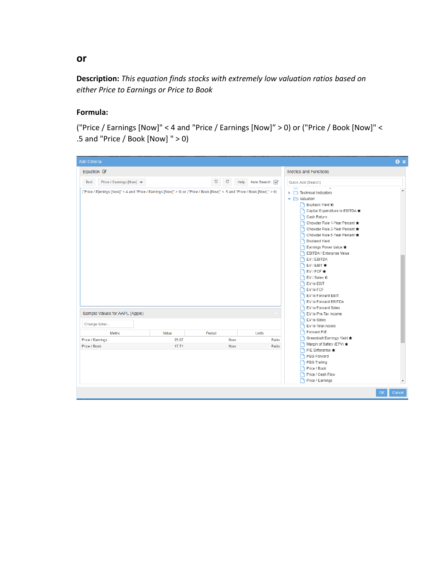## **Description:** *This equation finds stocks with extremely low valuation ratios based on either Price to Earnings or Price to Book*

#### **Formula:**

("Price / Earnings [Now]" < 4 and "Price / Earnings [Now]" > 0) or ("Price / Book [Now]" < .5 and "Price / Book [Now] " > 0)

| <b>Add Criteria</b>                                                                                                          |       |                           |              |                                                                                                                                                                                                                                                                                                                                                                                                                                                                                         | $\mathbf{a}$ $\mathbf{x}$ |
|------------------------------------------------------------------------------------------------------------------------------|-------|---------------------------|--------------|-----------------------------------------------------------------------------------------------------------------------------------------------------------------------------------------------------------------------------------------------------------------------------------------------------------------------------------------------------------------------------------------------------------------------------------------------------------------------------------------|---------------------------|
| Equation $\mathbb{Z}$                                                                                                        |       |                           |              | Metrics and Functions                                                                                                                                                                                                                                                                                                                                                                                                                                                                   |                           |
| Price / Earnings [Now] ▼<br><b>Test</b>                                                                                      |       | C<br>$\mathbf{C}$<br>Help | Auto Search: | Quick Add (Search)                                                                                                                                                                                                                                                                                                                                                                                                                                                                      |                           |
| ("Price / Earnings [Now]" < 4 and "Price / Earnings [Now]" > 0) or ("Price / Book [Now]" < .5 and "Price / Book [Now] " > 0) |       |                           |              | $\tilde{\phantom{a}}$<br>Technical Indicators<br>▼ → Valuation<br>Buyback Yield $\bigcirc$<br>Capital Expenditure to EBITDA<br>Cash Return<br>Chowder Rule 1-Year Percent<br>P Chowder Rule 3-Year Percent ★<br>Chowder Rule 5-Year Percent *<br><b>P</b> Dividend Yield<br>Earnings Power Value<br>EBITDA / Enterprise Value<br>EV / EBITDA<br>EV / EBIT<br>$EV$ / FCF $\bigstar$<br>P EV / Sales <i>t</i> /z<br>EV to EBIT<br>EV to FCF<br>EV to Forward EBIT<br>EV to Forward EBITDA |                           |
| Sample Values for AAPL (Apple)                                                                                               |       |                           |              | EV to Forward Sales<br>EV to Pre-Tax Income                                                                                                                                                                                                                                                                                                                                                                                                                                             |                           |
| Change ticker                                                                                                                |       |                           |              | EV to Sales<br>EV to Total Assets                                                                                                                                                                                                                                                                                                                                                                                                                                                       |                           |
| Metric                                                                                                                       | Value | Period                    | <b>Units</b> | Forward P/E                                                                                                                                                                                                                                                                                                                                                                                                                                                                             |                           |
| Price / Earnings                                                                                                             | 25.07 | Now                       | Ratio        | Greenblatt Earnings Yield ★                                                                                                                                                                                                                                                                                                                                                                                                                                                             |                           |
| Price / Book                                                                                                                 | 17.71 | Now                       | Ratio        | Margin of Safety (EPV) ★<br>P/E Differential *<br>PEG Forward<br>PEG Trailing<br>Price / Book<br>Price / Cash Flow<br>Price / Earnings                                                                                                                                                                                                                                                                                                                                                  |                           |
|                                                                                                                              |       |                           |              |                                                                                                                                                                                                                                                                                                                                                                                                                                                                                         | OK                        |

**or**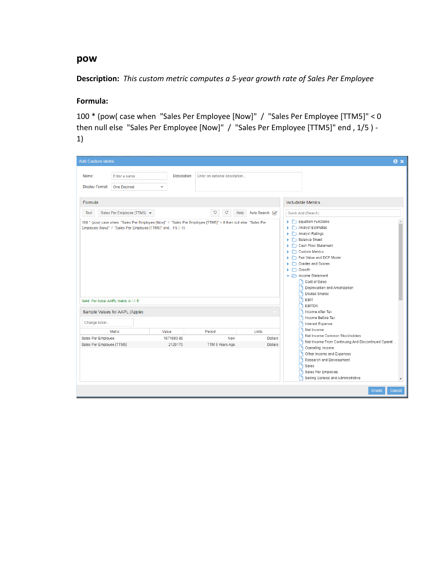#### **pow**

**Description:** *This custom metric computes a 5-year growth rate of Sales Per Employee*

## **Formula:**

100 \* (pow( case when "Sales Per Employee [Now]" / "Sales Per Employee [TTM5]" < 0 then null else "Sales Per Employee [Now]" / "Sales Per Employee [TTM5]" end , 1/5 ) - 1)

| <b>Add Custom Metric</b>                                                                                                                                                                                                 |                                |                                  |                                           | $\mathbf{a} \times$                                                                                                                                                                                                                                                                                                                                                                                 |
|--------------------------------------------------------------------------------------------------------------------------------------------------------------------------------------------------------------------------|--------------------------------|----------------------------------|-------------------------------------------|-----------------------------------------------------------------------------------------------------------------------------------------------------------------------------------------------------------------------------------------------------------------------------------------------------------------------------------------------------------------------------------------------------|
| Name:<br>Enter a name<br>Display Format:<br><b>One Decimal</b><br>Formula                                                                                                                                                | Description:<br>↽              | Enter an optional description    |                                           | Includable Metrics                                                                                                                                                                                                                                                                                                                                                                                  |
| Sales Per Employee [TTM5] ▼<br><b>Test</b><br>100 * (pow( case when "Sales Per Employee [Now]" / "Sales Per Employee [TTM5]" < 0 then null else "Sales Per<br>Employee [Now]" / "Sales Per Employee [TTM5]" end, 1/5)-1) |                                | C<br>$\mathbf{C}$<br>Help        | Auto Search:                              | Quick Add (Search)<br>$\blacktriangleright$ $\Box$ Equation Functions<br>Analyst Estimates<br>ь<br>Analyst Ratings<br>٠<br>Balance Sheet<br>Þ.<br>Cash Flow Statement<br>Þ.<br>Custom Metrics<br>٠<br>Fair Value and DCF Model<br>٠<br>Grades and Scores<br>٠<br><b>C</b> Growth<br>ь<br>ncome Statement<br><b>P</b> Cost of Sales<br>Depreciation and Amortization<br>Γ٩.<br><b>Diluted Shares</b> |
| Valid. For ticker AAPL metric is '-1.5'<br>Sample Values for AAPL (Apple)                                                                                                                                                |                                |                                  |                                           | <b>PEBIT</b><br><b>PEBITDA</b><br><b>B</b> Income After Tax<br>Income Before Tax                                                                                                                                                                                                                                                                                                                    |
| Change ticker<br>Metric.<br>Sales Per Employee<br>Sales Per Employee [TTM5]                                                                                                                                              | Value<br>1971880.88<br>2129170 | Period<br>Now<br>TTM 5 Years Ago | <b>Units</b><br><b>Dollars</b><br>Dollars | Interest Expense<br>Net Income<br>Net Income Common Stockholders<br>Net Income From Continuing And Discontinued Operat<br>Operating Income<br>۱۹<br>Other Income and Expenses<br>Research and Development<br>I٦<br><b>F</b> Sales<br>Sales Per Employee<br>Γ٩<br>Selling General and Administrative<br>$\overline{\phantom{a}}$                                                                     |
|                                                                                                                                                                                                                          |                                |                                  |                                           | Create<br>Cancel                                                                                                                                                                                                                                                                                                                                                                                    |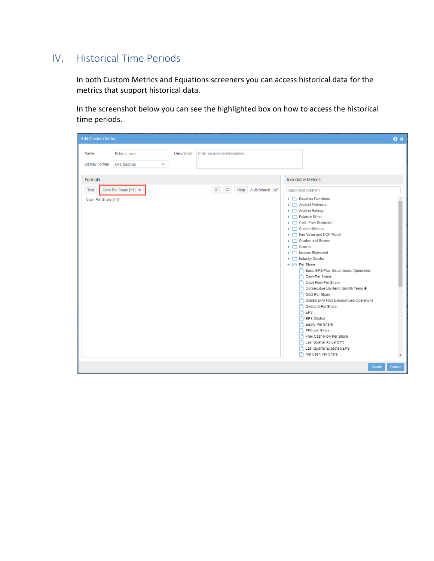# IV. Historical Time Periods

In both Custom Metrics and Equations screeners you can access historical data for the metrics that support historical data.

In the screenshot below you can see the highlighted box on how to access the historical time periods.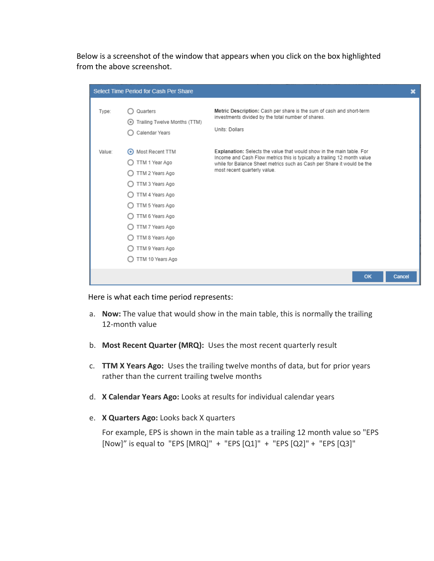Below is a screenshot of the window that appears when you click on the box highlighted from the above screenshot.

|        | Select Time Period for Cash Per Share                                                                                                                                                                           |                                                                                                                                                                                                                                                             | ×      |
|--------|-----------------------------------------------------------------------------------------------------------------------------------------------------------------------------------------------------------------|-------------------------------------------------------------------------------------------------------------------------------------------------------------------------------------------------------------------------------------------------------------|--------|
| Type:  | Quarters<br>Trailing Twelve Months (TTM)<br>$\circ$<br>Calendar Years                                                                                                                                           | Metric Description: Cash per share is the sum of cash and short-term<br>investments divided by the total number of shares.<br>Units: Dollars                                                                                                                |        |
| Value: | O Most Recent TTM<br>TTM 1 Year Ago<br>TTM 2 Years Ago<br>TTM 3 Years Ago<br>TTM 4 Years Ago<br>TTM 5 Years Ago<br>TTM 6 Years Ago<br>TTM 7 Years Ago<br>TTM 8 Years Ago<br>TTM 9 Years Ago<br>TTM 10 Years Ago | Explanation: Selects the value that would show in the main table. For<br>Income and Cash Flow metrics this is typically a trailing 12 month value<br>while for Balance Sheet metrics such as Cash per Share it would be the<br>most recent quarterly value. |        |
|        |                                                                                                                                                                                                                 | OK                                                                                                                                                                                                                                                          | Cancel |

Here is what each time period represents:

- a. **Now:** The value that would show in the main table, this is normally the trailing 12-month value
- b. **Most Recent Quarter (MRQ):** Uses the most recent quarterly result
- c. **TTM X Years Ago:** Uses the trailing twelve months of data, but for prior years rather than the current trailing twelve months
- d. **X Calendar Years Ago:** Looks at results for individual calendar years
- e. **X Quarters Ago:** Looks back X quarters

For example, EPS is shown in the main table as a trailing 12 month value so "EPS [Now]" is equal to "EPS [MRQ]" + "EPS [Q1]" + "EPS [Q2]" + "EPS [Q3]"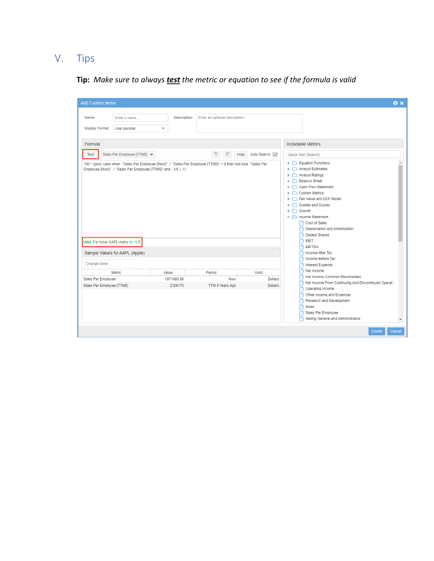# V. Tips

# **Tip:** *Make sure to always test the metric or equation to see if the formula is valid*

| <b>Add Custom Metric</b>                                                                                                                                                                                                                          |                       |                               |                    | $\mathbf{a} \times$                                                                                                                                                                                                                                                                                                                                                                                                                                           |
|---------------------------------------------------------------------------------------------------------------------------------------------------------------------------------------------------------------------------------------------------|-----------------------|-------------------------------|--------------------|---------------------------------------------------------------------------------------------------------------------------------------------------------------------------------------------------------------------------------------------------------------------------------------------------------------------------------------------------------------------------------------------------------------------------------------------------------------|
| Name:<br>Enter a name<br><b>Display Format:</b><br>One Decimal                                                                                                                                                                                    | Description:<br>÷     | Enter an optional description |                    |                                                                                                                                                                                                                                                                                                                                                                                                                                                               |
| Formula<br>Sales Per Employee [TTM5] $\blacktriangledown$<br>Test<br>100 * (pow( case when "Sales Per Employee [Now]" / "Sales Per Employee [TTM5]" < 0 then null else "Sales Per<br>Employee [Now]" / "Sales Per Employee [TTM5]" end, 1/5 ) -1) |                       | c<br>$\mathbf{C}$<br>Help     | Auto Search: V     | <b>Includable Metrics</b><br>Quick Add (Search)<br>$\blacktriangleright$ $\Box$ Equation Functions<br>$\triangleright$ $\square$ Analyst Estimates<br>Analyst Ratings<br>Balance Sheet<br>Cash Flow Statement<br>$\blacktriangleright$ $\Box$ Custom Metrics<br>Fair Value and DCF Model<br>Grades and Scores<br>$\blacktriangleright$ $\Box$ Growth<br>▼ → Income Statement<br>Cost of Sales<br>Depreciation and Amortization<br><b>Diluted Shares</b><br>Γ٩ |
| Valid. For ticker AAPL metric is '-1.5'<br>Sample Values for AAPL (Apple)                                                                                                                                                                         |                       |                               |                    | $\Gamma$ EBIT<br><b>PEBITDA</b><br>Income After Tax<br>Income Before Tax                                                                                                                                                                                                                                                                                                                                                                                      |
| Change ticker<br>Metric                                                                                                                                                                                                                           | Value                 | Period                        | Units              | Interest Expense<br>Ret Income<br>Net Income Common Stockholders                                                                                                                                                                                                                                                                                                                                                                                              |
| Sales Per Employee<br>Sales Per Employee [TTM5]                                                                                                                                                                                                   | 1971880.88<br>2129170 | Now<br>TTM 5 Years Ago        | Dollars<br>Dollars | Net Income From Continuing And Discontinued Operat<br>Operating Income<br>Other Income and Expenses<br>Research and Development<br>Sales<br>Sales Per Employee<br>Selling General and Administrative                                                                                                                                                                                                                                                          |
|                                                                                                                                                                                                                                                   |                       |                               |                    | Create<br>Cancel                                                                                                                                                                                                                                                                                                                                                                                                                                              |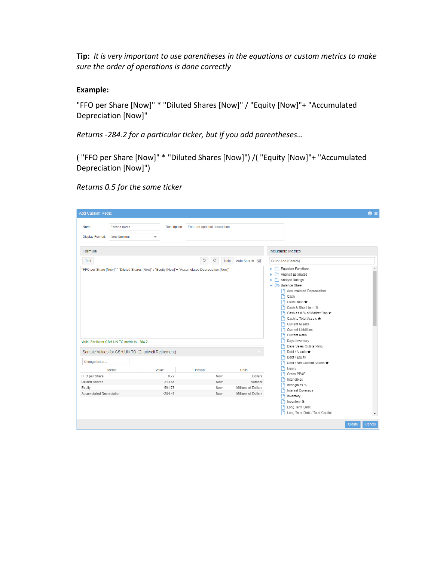**Tip:** *It is very important to use parentheses in the equations or custom metrics to make sure the order of operations is done correctly*

#### **Example:**

"FFO per Share [Now]" \* "Diluted Shares [Now]" / "Equity [Now]"+ "Accumulated Depreciation [Now]"

*Returns -284.2 for a particular ticker, but if you add parentheses…*

( "FFO per Share [Now]" \* "Diluted Shares [Now]") /( "Equity [Now]"+ "Accumulated Depreciation [Now]")

*Returns 0.5 for the same ticker*

| <b>Add Custom Metric</b> |                                                                                                   |                                                                                                                                                                                                                                                                        |                               |                                          |                                              | $\mathbf{a} \times$ |  |
|--------------------------|---------------------------------------------------------------------------------------------------|------------------------------------------------------------------------------------------------------------------------------------------------------------------------------------------------------------------------------------------------------------------------|-------------------------------|------------------------------------------|----------------------------------------------|---------------------|--|
| Name:<br>Display Format: | Enter a name<br>One Decimal<br>÷                                                                  | Description:                                                                                                                                                                                                                                                           | Enter an optional description |                                          |                                              |                     |  |
| Formula                  |                                                                                                   |                                                                                                                                                                                                                                                                        |                               |                                          | <b>Includable Metrics</b>                    |                     |  |
| Test                     |                                                                                                   |                                                                                                                                                                                                                                                                        | Auto Search:<br>Help          | Quick Add (Search)                       |                                              |                     |  |
|                          | "FFO per Share [Now]" * "Diluted Shares [Now]" / "Equity [Now]"+ "Accumulated Depreciation [Now]" | Analyst Estimates<br>Analyst Ratings<br>Balance Sheet<br>Accumulated Depreciation<br><b>P</b> Cash<br>Cash Ratio *<br>Cash & Short-term %<br>Cash as a % of Market Cap *x<br>Cash to Total Assets ★<br>Current Assets<br><b>B</b> Current Liabilities<br>Current Ratio |                               |                                          |                                              |                     |  |
|                          | Valid. For ticker CSH.UN.TO metric is '-284.2'                                                    |                                                                                                                                                                                                                                                                        |                               | Days Inventory<br>Days Sales Outstanding |                                              |                     |  |
|                          | Sample Values for CSH.UN.TO (Chartwell Retirement)                                                | Debt / Assets ★                                                                                                                                                                                                                                                        |                               |                                          |                                              |                     |  |
| Change ticker            |                                                                                                   |                                                                                                                                                                                                                                                                        |                               |                                          | Debt / Equity<br>Debt / Net Current Assets ★ |                     |  |
| <b>Metric</b>            |                                                                                                   | Value                                                                                                                                                                                                                                                                  | Period                        | <b>Units</b>                             | <b>P</b> Equity                              |                     |  |
| FFO per Share            |                                                                                                   | 0.79                                                                                                                                                                                                                                                                   | Now                           | Dollars                                  | Gross PP&E                                   |                     |  |
| <b>Diluted Shares</b>    |                                                                                                   | 213.65                                                                                                                                                                                                                                                                 | Now                           | Number                                   | Intangibles                                  |                     |  |
| Equity                   |                                                                                                   | 591.78                                                                                                                                                                                                                                                                 | Now                           | Millions of Dollars                      | Intangibles %<br>Interest Coverage           |                     |  |
| Accumulated Depreciation |                                                                                                   | $-284.46$                                                                                                                                                                                                                                                              | Now                           | Millions of Dollars                      | nventory<br>Inventory %                      |                     |  |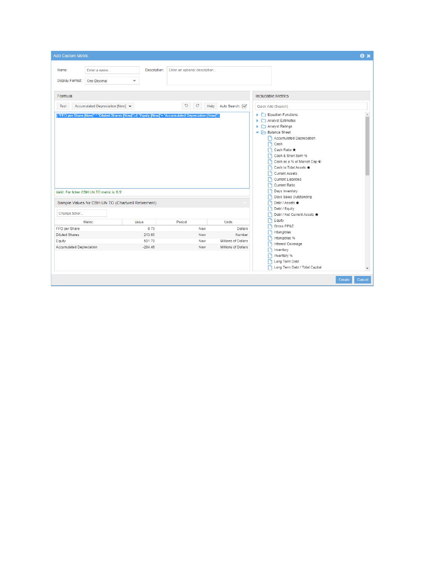| Description:<br>Enter an optional description<br>Name:<br>Enter a name<br><b>Display Format:</b><br><b>One Decimal</b><br>۰<br>Formula<br>Includable Metrics<br>C<br>$\mathbf{C}$<br>Accumulated Depreciation [Now] ▼<br>Help<br>Auto Search: √<br><b>Test</b><br>Quick Add (Search)<br>Equation Functions<br>("FFO per Share [Now]" * "Diluted Shares [Now]") /( "Equity [Now]"+ "Accumulated Depreciation [Now]")<br>Analyst Estimates<br>ь<br>Analyst Ratings<br>٠<br>▼ Balance Sheet<br>Accumulated Depreciation<br>Cash<br>Cash Ratio ★<br>Cash & Short-term %<br>Cash as a % of Market Cap ¢<br>Cash to Total Assets ★<br><b>Current Assets</b><br>Г۹<br><b>Current Liabilities</b><br>Current Ratio<br>Days Inventory<br>Valid. For ticker CSH.UN.TO metric is '0.5'<br>Days Sales Outstanding<br>Sample Values for CSH.UN.TO (Chartwell Retirement)<br>Debt / Assets ★<br>Debt / Equity<br>Change ticker<br>Debt / Net Current Assets ★<br>Equity<br><b>Metric</b><br>Value<br>Period<br>Units<br>Gross PP&E<br>FFO per Share<br>0.79<br>Dollars<br>Now<br>Intangibles<br><b>Diluted Shares</b><br>213.65<br>Number<br>Now<br>Intangibles %<br>Г۹<br>Millions of Dollars<br>591.78<br>Equity<br>Now<br>Interest Coverage<br>Accumulated Depreciation<br>$-284.46$<br>Millions of Dollars<br>Now<br>Inventory<br>Inventory %<br>Long Term Debt | <b>Add Custom Metric</b> |  |                                | $\mathbf{a}$ x |
|-------------------------------------------------------------------------------------------------------------------------------------------------------------------------------------------------------------------------------------------------------------------------------------------------------------------------------------------------------------------------------------------------------------------------------------------------------------------------------------------------------------------------------------------------------------------------------------------------------------------------------------------------------------------------------------------------------------------------------------------------------------------------------------------------------------------------------------------------------------------------------------------------------------------------------------------------------------------------------------------------------------------------------------------------------------------------------------------------------------------------------------------------------------------------------------------------------------------------------------------------------------------------------------------------------------------------------------------------------|--------------------------|--|--------------------------------|----------------|
|                                                                                                                                                                                                                                                                                                                                                                                                                                                                                                                                                                                                                                                                                                                                                                                                                                                                                                                                                                                                                                                                                                                                                                                                                                                                                                                                                       |                          |  |                                |                |
|                                                                                                                                                                                                                                                                                                                                                                                                                                                                                                                                                                                                                                                                                                                                                                                                                                                                                                                                                                                                                                                                                                                                                                                                                                                                                                                                                       |                          |  |                                |                |
|                                                                                                                                                                                                                                                                                                                                                                                                                                                                                                                                                                                                                                                                                                                                                                                                                                                                                                                                                                                                                                                                                                                                                                                                                                                                                                                                                       |                          |  |                                |                |
|                                                                                                                                                                                                                                                                                                                                                                                                                                                                                                                                                                                                                                                                                                                                                                                                                                                                                                                                                                                                                                                                                                                                                                                                                                                                                                                                                       |                          |  |                                |                |
|                                                                                                                                                                                                                                                                                                                                                                                                                                                                                                                                                                                                                                                                                                                                                                                                                                                                                                                                                                                                                                                                                                                                                                                                                                                                                                                                                       |                          |  |                                |                |
| Create<br>Cancel                                                                                                                                                                                                                                                                                                                                                                                                                                                                                                                                                                                                                                                                                                                                                                                                                                                                                                                                                                                                                                                                                                                                                                                                                                                                                                                                      |                          |  | Long Term Debt / Total Capital | ٠              |